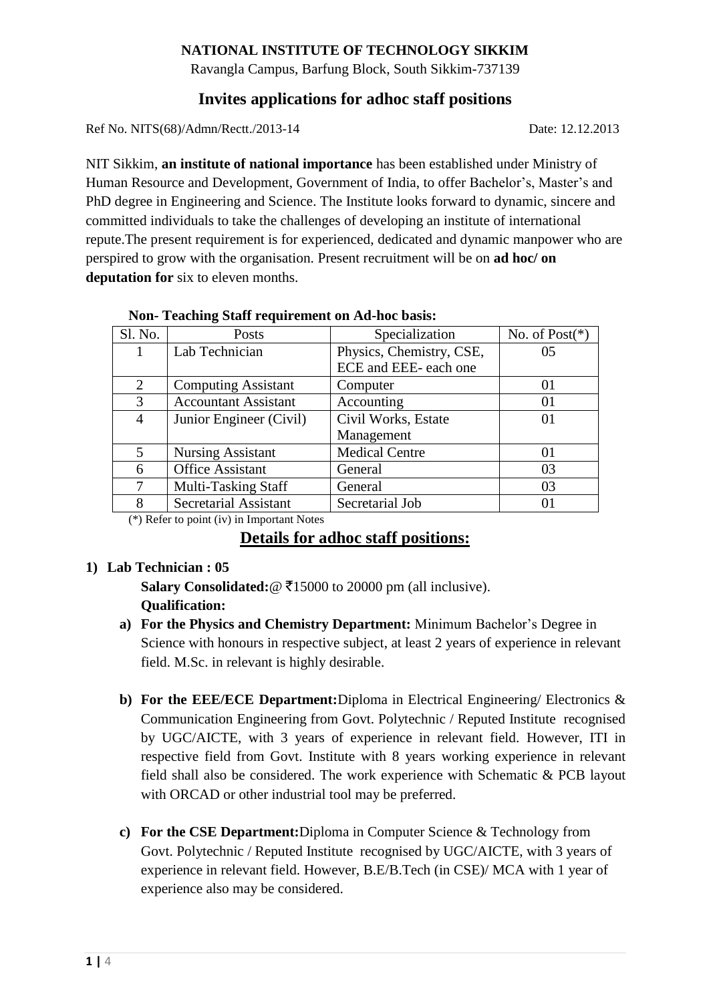## **NATIONAL INSTITUTE OF TECHNOLOGY SIKKIM**

Ravangla Campus, Barfung Block, South Sikkim-737139

# **Invites applications for adhoc staff positions**

Ref No. NITS(68)/Admn/Rectt./2013-14 Date: 12.12.2013

NIT Sikkim, **an institute of national importance** has been established under Ministry of Human Resource and Development, Government of India, to offer Bachelor's, Master's and PhD degree in Engineering and Science. The Institute looks forward to dynamic, sincere and committed individuals to take the challenges of developing an institute of international repute.The present requirement is for experienced, dedicated and dynamic manpower who are perspired to grow with the organisation. Present recruitment will be on **ad hoc/ on deputation for** six to eleven months.

|  |  | Non-Teaching Staff requirement on Ad-hoc basis: |  |
|--|--|-------------------------------------------------|--|
|--|--|-------------------------------------------------|--|

| Sl. No.        | Posts                       | Specialization           | No. of $Post(*)$ |
|----------------|-----------------------------|--------------------------|------------------|
|                | Lab Technician              | Physics, Chemistry, CSE, | 05               |
|                |                             | ECE and EEE- each one    |                  |
| 2              | <b>Computing Assistant</b>  | Computer                 | 01               |
| 3              | <b>Accountant Assistant</b> | Accounting               | 01               |
| $\overline{4}$ | Junior Engineer (Civil)     | Civil Works, Estate      | 01               |
|                |                             | Management               |                  |
| 5              | <b>Nursing Assistant</b>    | <b>Medical Centre</b>    | 01               |
| 6              | <b>Office Assistant</b>     | General                  | 03               |
| 7              | <b>Multi-Tasking Staff</b>  | General                  | 03               |
| 8              | Secretarial Assistant       | Secretarial Job          | 01               |

(\*) Refer to point (iv) in Important Notes

## **Details for adhoc staff positions:**

## **1) Lab Technician : 05**

Salary Consolidated:  $@ \t{7}15000$  to 20000 pm (all inclusive). **Qualification:** 

- **a) For the Physics and Chemistry Department:** Minimum Bachelor's Degree in Science with honours in respective subject, at least 2 years of experience in relevant field. M.Sc. in relevant is highly desirable.
- **b) For the EEE/ECE Department:**Diploma in Electrical Engineering/ Electronics & Communication Engineering from Govt. Polytechnic / Reputed Institute recognised by UGC/AICTE, with 3 years of experience in relevant field. However, ITI in respective field from Govt. Institute with 8 years working experience in relevant field shall also be considered. The work experience with Schematic & PCB layout with ORCAD or other industrial tool may be preferred.
- **c) For the CSE Department:**Diploma in Computer Science & Technology from Govt. Polytechnic / Reputed Institute recognised by UGC/AICTE, with 3 years of experience in relevant field. However, B.E/B.Tech (in CSE)/ MCA with 1 year of experience also may be considered.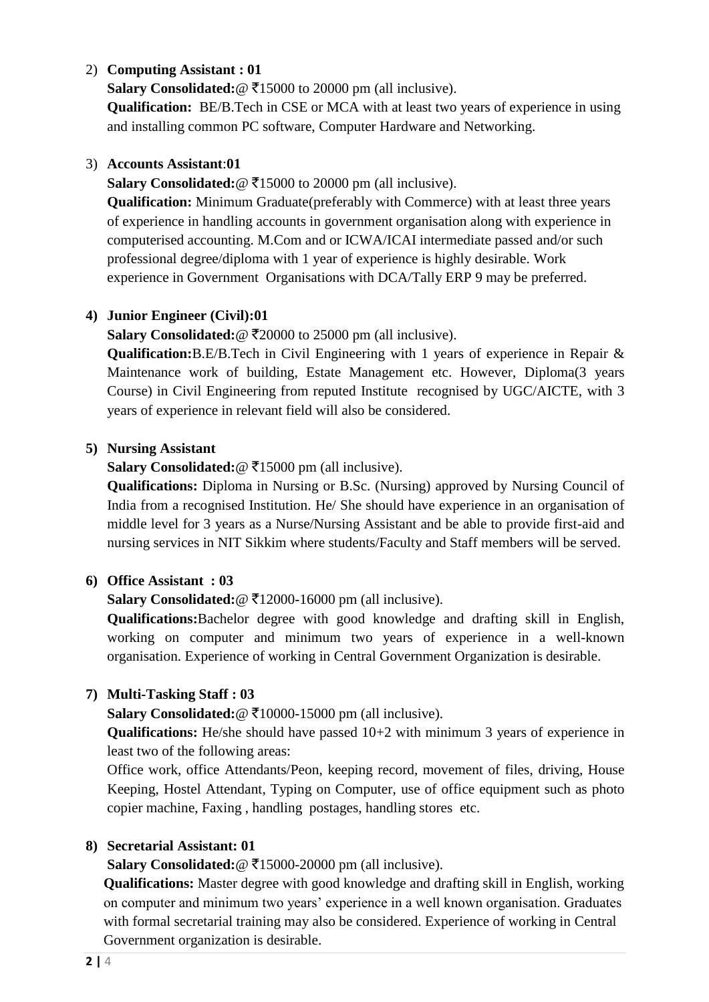## 2) **Computing Assistant : 01**

**Salary Consolidated:** $\textcircled{?}$  ₹15000 to 20000 pm (all inclusive).

**Qualification:** BE/B.Tech in CSE or MCA with at least two years of experience in using and installing common PC software, Computer Hardware and Networking.

#### 3) **Accounts Assistant**:**01**

**Salary Consolidated:** $@ \overline{\mathbf{\ell}} 15000$  to 20000 pm (all inclusive).

**Qualification:** Minimum Graduate(preferably with Commerce) with at least three years of experience in handling accounts in government organisation along with experience in computerised accounting. M.Com and or ICWA/ICAI intermediate passed and/or such professional degree/diploma with 1 year of experience is highly desirable. Work experience in Government Organisations with DCA/Tally ERP 9 may be preferred.

## **4) Junior Engineer (Civil):01**

**Salary Consolidated:** @ ₹20000 to 25000 pm (all inclusive).

**Qualification:**B.E/B.Tech in Civil Engineering with 1 years of experience in Repair & Maintenance work of building, Estate Management etc. However, Diploma(3 years Course) in Civil Engineering from reputed Institute recognised by UGC/AICTE, with 3 years of experience in relevant field will also be considered.

#### **5) Nursing Assistant**

Salary Consolidated: **@** ₹15000 pm (all inclusive).

**Qualifications:** Diploma in Nursing or B.Sc. (Nursing) approved by Nursing Council of India from a recognised Institution. He/ She should have experience in an organisation of middle level for 3 years as a Nurse/Nursing Assistant and be able to provide first-aid and nursing services in NIT Sikkim where students/Faculty and Staff members will be served.

## **6) Office Assistant : 03**

**Salary Consolidated:** $@ \overline{\mathfrak{Z}}12000-16000 \text{ pm (all inclusive)}$ .

**Qualifications:**Bachelor degree with good knowledge and drafting skill in English, working on computer and minimum two years of experience in a well-known organisation. Experience of working in Central Government Organization is desirable.

## **7) Multi-Tasking Staff : 03**

Salary Consolidated: @ ₹10000-15000 pm (all inclusive).

**Qualifications:** He/she should have passed 10+2 with minimum 3 years of experience in least two of the following areas:

Office work, office Attendants/Peon, keeping record, movement of files, driving, House Keeping, Hostel Attendant, Typing on Computer, use of office equipment such as photo copier machine, Faxing , handling postages, handling stores etc.

## **8) Secretarial Assistant: 01**

Salary Consolidated: @ ₹15000-20000 pm (all inclusive).

**Qualifications:** Master degree with good knowledge and drafting skill in English, working on computer and minimum two years' experience in a well known organisation. Graduates with formal secretarial training may also be considered. Experience of working in Central Government organization is desirable.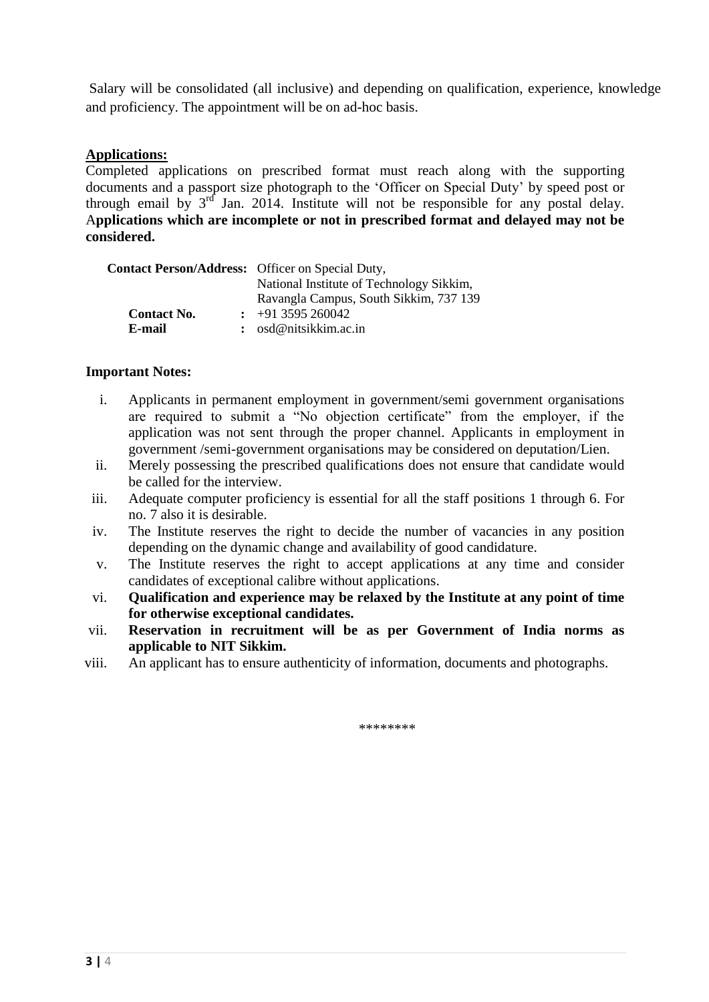Salary will be consolidated (all inclusive) and depending on qualification, experience, knowledge and proficiency. The appointment will be on ad-hoc basis.

#### **Applications:**

Completed applications on prescribed format must reach along with the supporting documents and a passport size photograph to the 'Officer on Special Duty' by speed post or through email by  $3^{rd}$  Jan. 2014. Institute will not be responsible for any postal delay. A**pplications which are incomplete or not in prescribed format and delayed may not be considered.**

| <b>Contact Person/Address:</b> Officer on Special Duty, |                                          |  |
|---------------------------------------------------------|------------------------------------------|--|
|                                                         | National Institute of Technology Sikkim, |  |
|                                                         | Ravangla Campus, South Sikkim, 737 139   |  |
| <b>Contact No.</b>                                      | $\div$ +91 3595 260042                   |  |
| E-mail                                                  | : $osd@nitsikkim.ac.in$                  |  |

#### **Important Notes:**

- i. Applicants in permanent employment in government/semi government organisations are required to submit a "No objection certificate" from the employer, if the application was not sent through the proper channel. Applicants in employment in government /semi-government organisations may be considered on deputation/Lien.
- ii. Merely possessing the prescribed qualifications does not ensure that candidate would be called for the interview.
- iii. Adequate computer proficiency is essential for all the staff positions 1 through 6. For no. 7 also it is desirable.
- iv. The Institute reserves the right to decide the number of vacancies in any position depending on the dynamic change and availability of good candidature.
- v. The Institute reserves the right to accept applications at any time and consider candidates of exceptional calibre without applications.
- vi. **Qualification and experience may be relaxed by the Institute at any point of time for otherwise exceptional candidates.**
- vii. **Reservation in recruitment will be as per Government of India norms as applicable to NIT Sikkim.**
- viii. An applicant has to ensure authenticity of information, documents and photographs.

\*\*\*\*\*\*\*\*\*\*\*\*\*